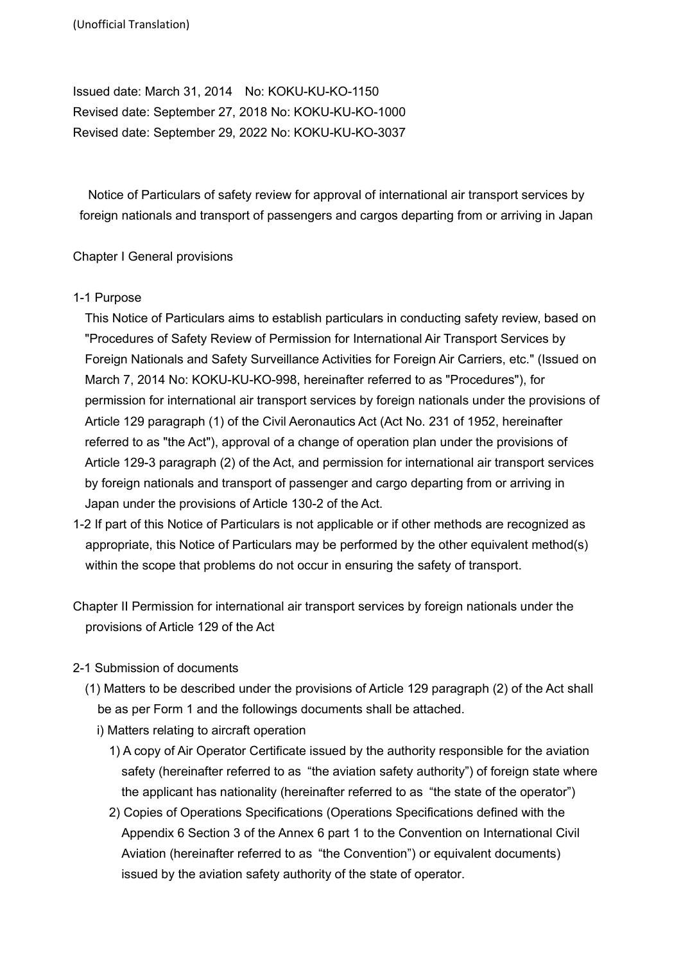Issued date: March 31, 2014 No: KOKU-KU-KO-1150 Revised date: September 27, 2018 No: KOKU-KU-KO-1000 Revised date: September 29, 2022 No: KOKU-KU-KO-3037

Notice of Particulars of safety review for approval of international air transport services by foreign nationals and transport of passengers and cargos departing from or arriving in Japan

### Chapter I General provisions

### 1-1 Purpose

This Notice of Particulars aims to establish particulars in conducting safety review, based on "Procedures of Safety Review of Permission for International Air Transport Services by Foreign Nationals and Safety Surveillance Activities for Foreign Air Carriers, etc." (Issued on March 7, 2014 No: KOKU-KU-KO-998, hereinafter referred to as "Procedures"), for permission for international air transport services by foreign nationals under the provisions of Article 129 paragraph (1) of the Civil Aeronautics Act (Act No. 231 of 1952, hereinafter referred to as "the Act"), approval of a change of operation plan under the provisions of Article 129-3 paragraph (2) of the Act, and permission for international air transport services by foreign nationals and transport of passenger and cargo departing from or arriving in Japan under the provisions of Article 130-2 of the Act.

- 1-2 If part of this Notice of Particulars is not applicable or if other methods are recognized as appropriate, this Notice of Particulars may be performed by the other equivalent method(s) within the scope that problems do not occur in ensuring the safety of transport.
- Chapter II Permission for international air transport services by foreign nationals under the provisions of Article 129 of the Act

# 2-1 Submission of documents

- (1) Matters to be described under the provisions of Article 129 paragraph (2) of the Act shall be as per Form 1 and the followings documents shall be attached.
	- i) Matters relating to aircraft operation
		- 1) A copy of Air Operator Certificate issued by the authority responsible for the aviation safety (hereinafter referred to as "the aviation safety authority") of foreign state where the applicant has nationality (hereinafter referred to as "the state of the operator")
		- 2) Copies of Operations Specifications (Operations Specifications defined with the Appendix 6 Section 3 of the Annex 6 part 1 to the Convention on International Civil Aviation (hereinafter referred to as "the Convention") or equivalent documents) issued by the aviation safety authority of the state of operator.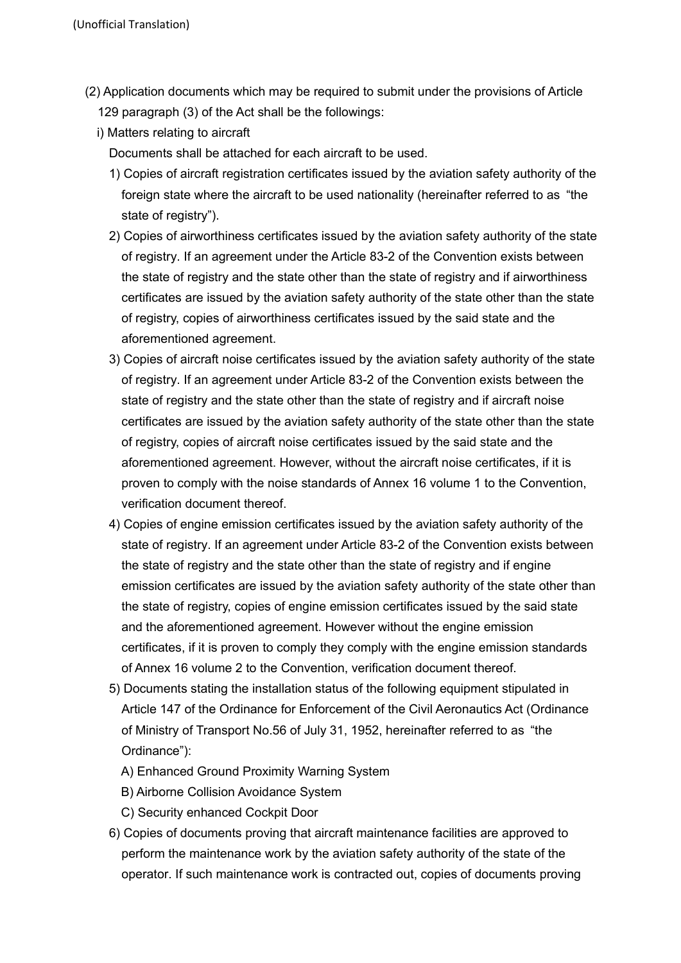- (2) Application documents which may be required to submit under the provisions of Article 129 paragraph (3) of the Act shall be the followings:
	- i) Matters relating to aircraft

Documents shall be attached for each aircraft to be used.

- 1) Copies of aircraft registration certificates issued by the aviation safety authority of the foreign state where the aircraft to be used nationality (hereinafter referred to as "the state of registry").
- 2) Copies of airworthiness certificates issued by the aviation safety authority of the state of registry. If an agreement under the Article 83-2 of the Convention exists between the state of registry and the state other than the state of registry and if airworthiness certificates are issued by the aviation safety authority of the state other than the state of registry, copies of airworthiness certificates issued by the said state and the aforementioned agreement.
- 3) Copies of aircraft noise certificates issued by the aviation safety authority of the state of registry. If an agreement under Article 83-2 of the Convention exists between the state of registry and the state other than the state of registry and if aircraft noise certificates are issued by the aviation safety authority of the state other than the state of registry, copies of aircraft noise certificates issued by the said state and the aforementioned agreement. However, without the aircraft noise certificates, if it is proven to comply with the noise standards of Annex 16 volume 1 to the Convention, verification document thereof.
- 4) Copies of engine emission certificates issued by the aviation safety authority of the state of registry. If an agreement under Article 83-2 of the Convention exists between the state of registry and the state other than the state of registry and if engine emission certificates are issued by the aviation safety authority of the state other than the state of registry, copies of engine emission certificates issued by the said state and the aforementioned agreement. However without the engine emission certificates, if it is proven to comply they comply with the engine emission standards of Annex 16 volume 2 to the Convention, verification document thereof.
- 5) Documents stating the installation status of the following equipment stipulated in Article 147 of the Ordinance for Enforcement of the Civil Aeronautics Act (Ordinance of Ministry of Transport No.56 of July 31, 1952, hereinafter referred to as "the Ordinance"):
	- A) Enhanced Ground Proximity Warning System
	- B) Airborne Collision Avoidance System
	- C) Security enhanced Cockpit Door
- 6) Copies of documents proving that aircraft maintenance facilities are approved to perform the maintenance work by the aviation safety authority of the state of the operator. If such maintenance work is contracted out, copies of documents proving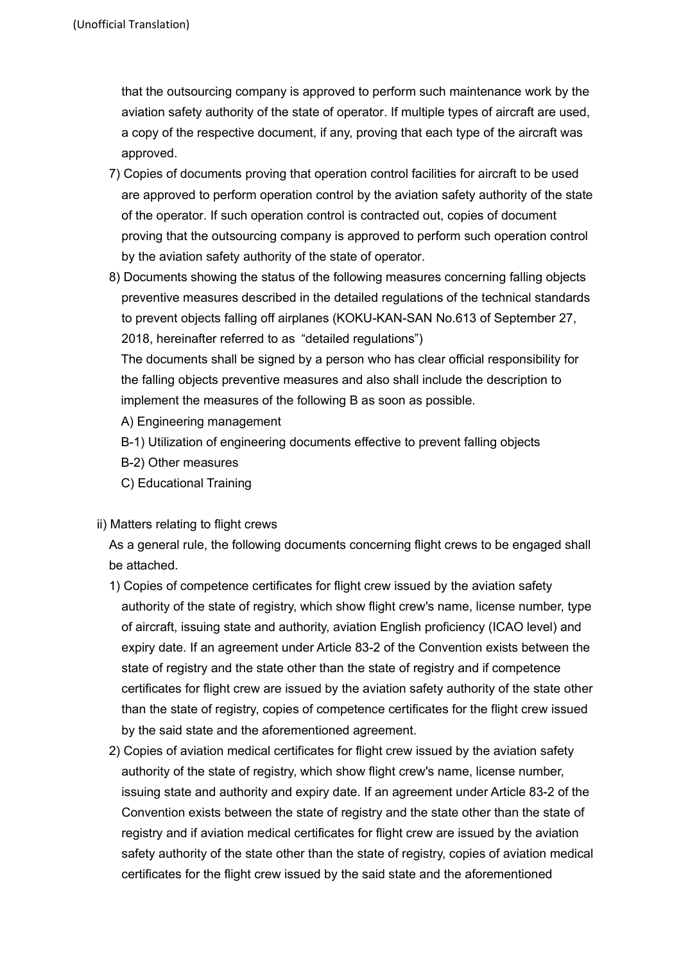that the outsourcing company is approved to perform such maintenance work by the aviation safety authority of the state of operator. If multiple types of aircraft are used, a copy of the respective document, if any, proving that each type of the aircraft was approved.

- 7) Copies of documents proving that operation control facilities for aircraft to be used are approved to perform operation control by the aviation safety authority of the state of the operator. If such operation control is contracted out, copies of document proving that the outsourcing company is approved to perform such operation control by the aviation safety authority of the state of operator.
- 8) Documents showing the status of the following measures concerning falling objects preventive measures described in the detailed regulations of the technical standards to prevent objects falling off airplanes (KOKU-KAN-SAN No.613 of September 27, 2018, hereinafter referred to as "detailed regulations")

The documents shall be signed by a person who has clear official responsibility for the falling objects preventive measures and also shall include the description to implement the measures of the following B as soon as possible.

A) Engineering management

B-1) Utilization of engineering documents effective to prevent falling objects

- B-2) Other measures
- C) Educational Training
- ii) Matters relating to flight crews

As a general rule, the following documents concerning flight crews to be engaged shall be attached.

- 1) Copies of competence certificates for flight crew issued by the aviation safety authority of the state of registry, which show flight crew's name, license number, type of aircraft, issuing state and authority, aviation English proficiency (ICAO level) and expiry date. If an agreement under Article 83-2 of the Convention exists between the state of registry and the state other than the state of registry and if competence certificates for flight crew are issued by the aviation safety authority of the state other than the state of registry, copies of competence certificates for the flight crew issued by the said state and the aforementioned agreement.
- 2) Copies of aviation medical certificates for flight crew issued by the aviation safety authority of the state of registry, which show flight crew's name, license number, issuing state and authority and expiry date. If an agreement under Article 83-2 of the Convention exists between the state of registry and the state other than the state of registry and if aviation medical certificates for flight crew are issued by the aviation safety authority of the state other than the state of registry, copies of aviation medical certificates for the flight crew issued by the said state and the aforementioned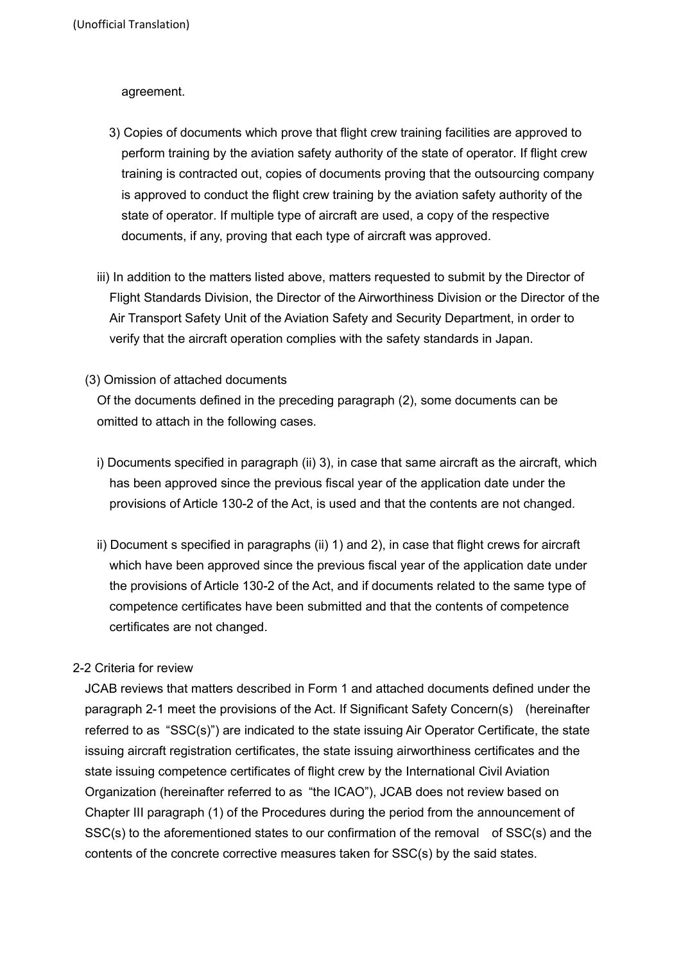### agreement.

- 3) Copies of documents which prove that flight crew training facilities are approved to perform training by the aviation safety authority of the state of operator. If flight crew training is contracted out, copies of documents proving that the outsourcing company is approved to conduct the flight crew training by the aviation safety authority of the state of operator. If multiple type of aircraft are used, a copy of the respective documents, if any, proving that each type of aircraft was approved.
- iii) In addition to the matters listed above, matters requested to submit by the Director of Flight Standards Division, the Director of the Airworthiness Division or the Director of the Air Transport Safety Unit of the Aviation Safety and Security Department, in order to verify that the aircraft operation complies with the safety standards in Japan.
- (3) Omission of attached documents

Of the documents defined in the preceding paragraph (2), some documents can be omitted to attach in the following cases.

- i) Documents specified in paragraph (ii) 3), in case that same aircraft as the aircraft, which has been approved since the previous fiscal year of the application date under the provisions of Article 130-2 of the Act, is used and that the contents are not changed.
- ii) Document s specified in paragraphs (ii) 1) and 2), in case that flight crews for aircraft which have been approved since the previous fiscal year of the application date under the provisions of Article 130-2 of the Act, and if documents related to the same type of competence certificates have been submitted and that the contents of competence certificates are not changed.

# 2-2 Criteria for review

JCAB reviews that matters described in Form 1 and attached documents defined under the paragraph 2-1 meet the provisions of the Act. If Significant Safety Concern(s) (hereinafter referred to as "SSC(s)") are indicated to the state issuing Air Operator Certificate, the state issuing aircraft registration certificates, the state issuing airworthiness certificates and the state issuing competence certificates of flight crew by the International Civil Aviation Organization (hereinafter referred to as "the ICAO"), JCAB does not review based on Chapter III paragraph (1) of the Procedures during the period from the announcement of SSC(s) to the aforementioned states to our confirmation of the removal of SSC(s) and the contents of the concrete corrective measures taken for SSC(s) by the said states.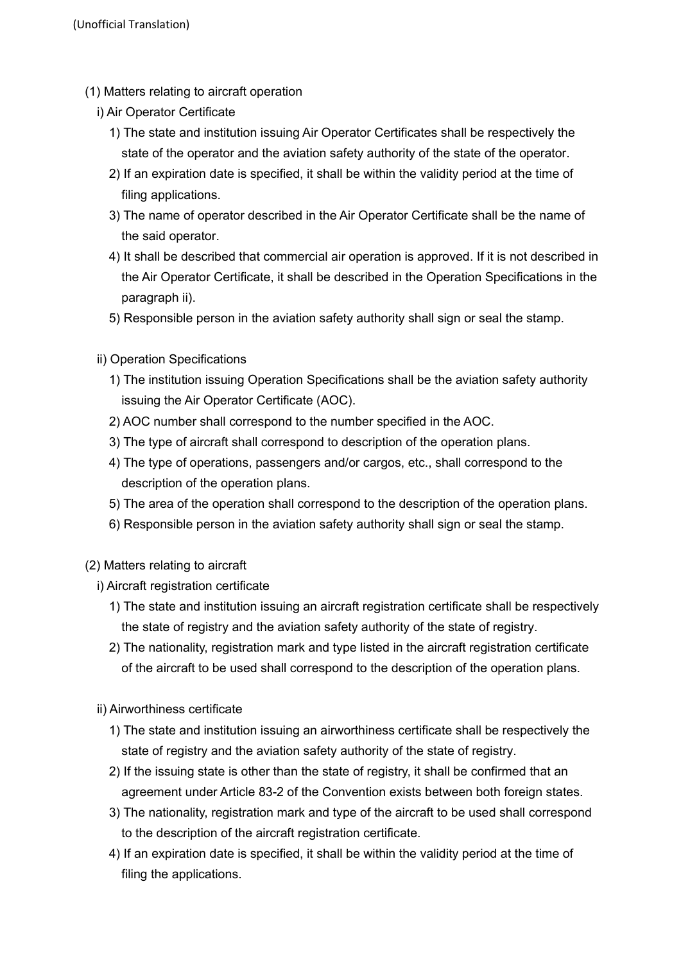- (1) Matters relating to aircraft operation
	- i) Air Operator Certificate
		- 1) The state and institution issuing Air Operator Certificates shall be respectively the state of the operator and the aviation safety authority of the state of the operator.
		- 2) If an expiration date is specified, it shall be within the validity period at the time of filing applications.
		- 3) The name of operator described in the Air Operator Certificate shall be the name of the said operator.
		- 4) It shall be described that commercial air operation is approved. If it is not described in the Air Operator Certificate, it shall be described in the Operation Specifications in the paragraph ii).
		- 5) Responsible person in the aviation safety authority shall sign or seal the stamp.
	- ii) Operation Specifications
		- 1) The institution issuing Operation Specifications shall be the aviation safety authority issuing the Air Operator Certificate (AOC).
		- 2) AOC number shall correspond to the number specified in the AOC.
		- 3) The type of aircraft shall correspond to description of the operation plans.
		- 4) The type of operations, passengers and/or cargos, etc., shall correspond to the description of the operation plans.
		- 5) The area of the operation shall correspond to the description of the operation plans.
		- 6) Responsible person in the aviation safety authority shall sign or seal the stamp.
- (2) Matters relating to aircraft
	- i) Aircraft registration certificate
		- 1) The state and institution issuing an aircraft registration certificate shall be respectively the state of registry and the aviation safety authority of the state of registry.
		- 2) The nationality, registration mark and type listed in the aircraft registration certificate of the aircraft to be used shall correspond to the description of the operation plans.
	- ii) Airworthiness certificate
		- 1) The state and institution issuing an airworthiness certificate shall be respectively the state of registry and the aviation safety authority of the state of registry.
		- 2) If the issuing state is other than the state of registry, it shall be confirmed that an agreement under Article 83-2 of the Convention exists between both foreign states.
		- 3) The nationality, registration mark and type of the aircraft to be used shall correspond to the description of the aircraft registration certificate.
		- 4) If an expiration date is specified, it shall be within the validity period at the time of filing the applications.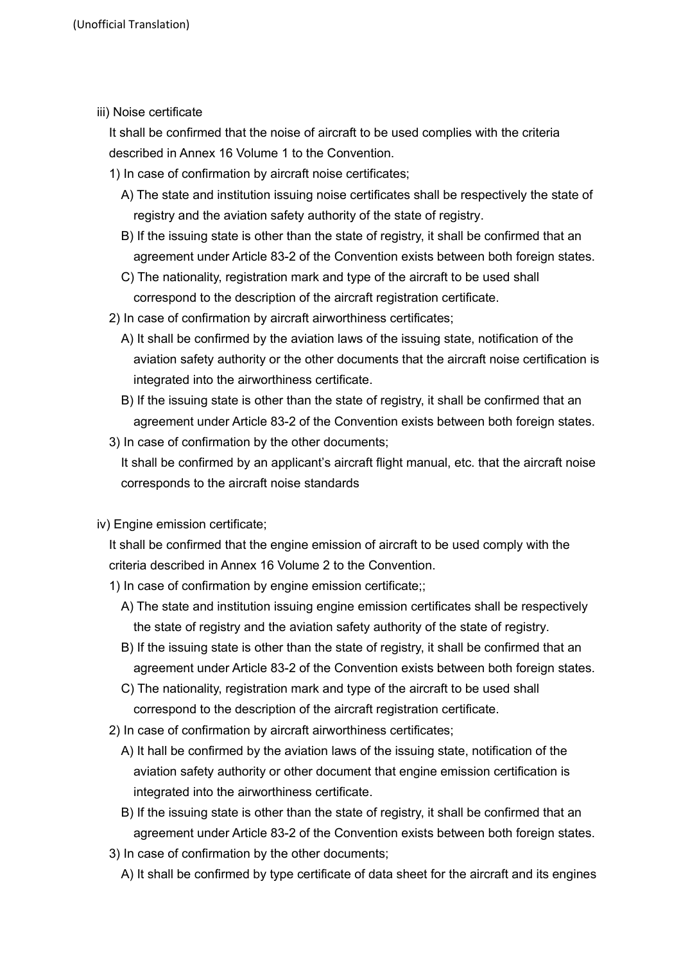iii) Noise certificate

It shall be confirmed that the noise of aircraft to be used complies with the criteria described in Annex 16 Volume 1 to the Convention.

- 1) In case of confirmation by aircraft noise certificates;
	- A) The state and institution issuing noise certificates shall be respectively the state of registry and the aviation safety authority of the state of registry.
	- B) If the issuing state is other than the state of registry, it shall be confirmed that an agreement under Article 83-2 of the Convention exists between both foreign states.
	- C) The nationality, registration mark and type of the aircraft to be used shall correspond to the description of the aircraft registration certificate.
- 2) In case of confirmation by aircraft airworthiness certificates;
	- A) It shall be confirmed by the aviation laws of the issuing state, notification of the aviation safety authority or the other documents that the aircraft noise certification is integrated into the airworthiness certificate.
	- B) If the issuing state is other than the state of registry, it shall be confirmed that an agreement under Article 83-2 of the Convention exists between both foreign states.
- 3) In case of confirmation by the other documents;

It shall be confirmed by an applicant's aircraft flight manual, etc. that the aircraft noise corresponds to the aircraft noise standards

iv) Engine emission certificate;

It shall be confirmed that the engine emission of aircraft to be used comply with the criteria described in Annex 16 Volume 2 to the Convention.

- 1) In case of confirmation by engine emission certificate;;
	- A) The state and institution issuing engine emission certificates shall be respectively the state of registry and the aviation safety authority of the state of registry.
	- B) If the issuing state is other than the state of registry, it shall be confirmed that an agreement under Article 83-2 of the Convention exists between both foreign states.
	- C) The nationality, registration mark and type of the aircraft to be used shall correspond to the description of the aircraft registration certificate.
- 2) In case of confirmation by aircraft airworthiness certificates;
	- A) It hall be confirmed by the aviation laws of the issuing state, notification of the aviation safety authority or other document that engine emission certification is integrated into the airworthiness certificate.
	- B) If the issuing state is other than the state of registry, it shall be confirmed that an agreement under Article 83-2 of the Convention exists between both foreign states.
- 3) In case of confirmation by the other documents;
	- A) It shall be confirmed by type certificate of data sheet for the aircraft and its engines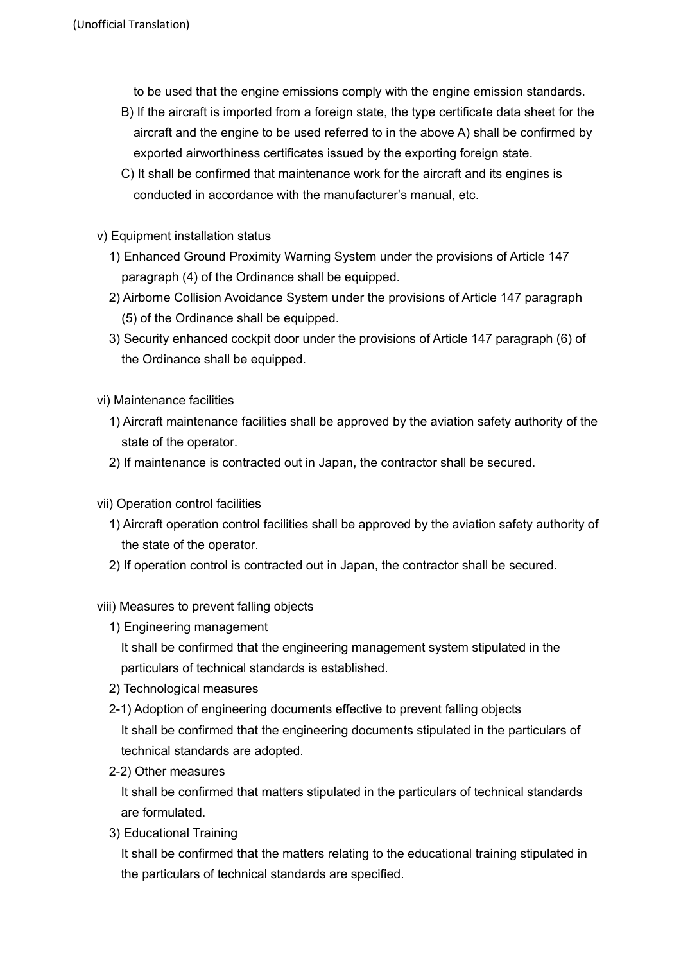to be used that the engine emissions comply with the engine emission standards.

- B) If the aircraft is imported from a foreign state, the type certificate data sheet for the aircraft and the engine to be used referred to in the above A) shall be confirmed by exported airworthiness certificates issued by the exporting foreign state.
- C) It shall be confirmed that maintenance work for the aircraft and its engines is conducted in accordance with the manufacturer's manual, etc.
- v) Equipment installation status
	- 1) Enhanced Ground Proximity Warning System under the provisions of Article 147 paragraph (4) of the Ordinance shall be equipped.
	- 2) Airborne Collision Avoidance System under the provisions of Article 147 paragraph (5) of the Ordinance shall be equipped.
	- 3) Security enhanced cockpit door under the provisions of Article 147 paragraph (6) of the Ordinance shall be equipped.
- vi) Maintenance facilities
	- 1) Aircraft maintenance facilities shall be approved by the aviation safety authority of the state of the operator.
	- 2) If maintenance is contracted out in Japan, the contractor shall be secured.
- vii) Operation control facilities
	- 1) Aircraft operation control facilities shall be approved by the aviation safety authority of the state of the operator.
	- 2) If operation control is contracted out in Japan, the contractor shall be secured.
- viii) Measures to prevent falling objects
	- 1) Engineering management

It shall be confirmed that the engineering management system stipulated in the particulars of technical standards is established.

- 2) Technological measures
- 2-1) Adoption of engineering documents effective to prevent falling objects It shall be confirmed that the engineering documents stipulated in the particulars of technical standards are adopted.
- 2-2) Other measures

It shall be confirmed that matters stipulated in the particulars of technical standards are formulated.

3) Educational Training

It shall be confirmed that the matters relating to the educational training stipulated in the particulars of technical standards are specified.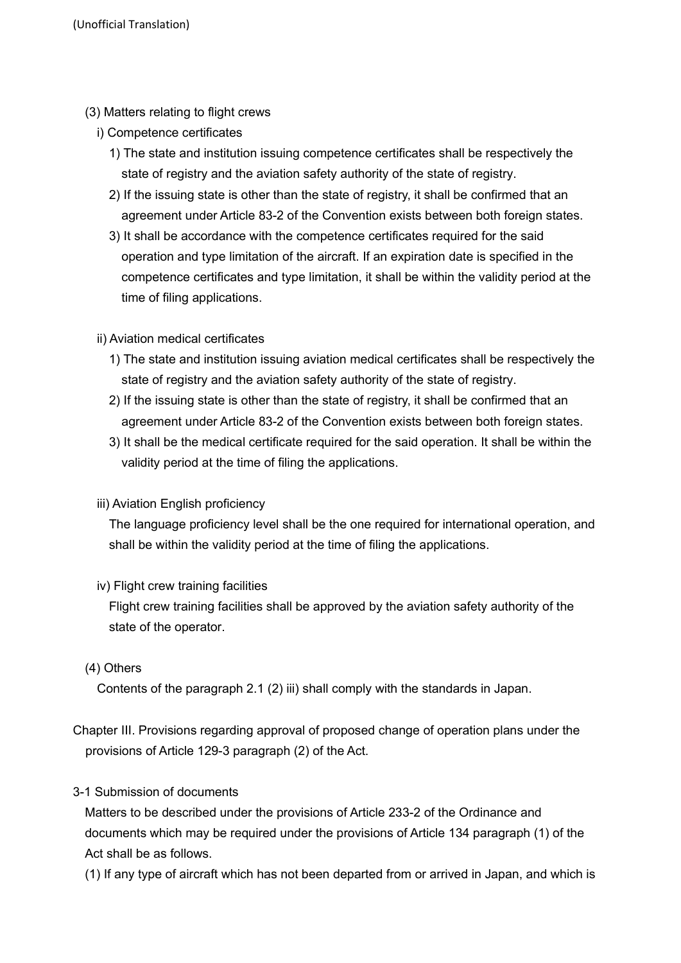- (3) Matters relating to flight crews
	- i) Competence certificates
		- 1) The state and institution issuing competence certificates shall be respectively the state of registry and the aviation safety authority of the state of registry.
		- 2) If the issuing state is other than the state of registry, it shall be confirmed that an agreement under Article 83-2 of the Convention exists between both foreign states.
		- 3) It shall be accordance with the competence certificates required for the said operation and type limitation of the aircraft. If an expiration date is specified in the competence certificates and type limitation, it shall be within the validity period at the time of filing applications.
	- ii) Aviation medical certificates
		- 1) The state and institution issuing aviation medical certificates shall be respectively the state of registry and the aviation safety authority of the state of registry.
		- 2) If the issuing state is other than the state of registry, it shall be confirmed that an agreement under Article 83-2 of the Convention exists between both foreign states.
		- 3) It shall be the medical certificate required for the said operation. It shall be within the validity period at the time of filing the applications.
	- iii) Aviation English proficiency

The language proficiency level shall be the one required for international operation, and shall be within the validity period at the time of filing the applications.

iv) Flight crew training facilities

Flight crew training facilities shall be approved by the aviation safety authority of the state of the operator.

# (4) Others

Contents of the paragraph 2.1 (2) iii) shall comply with the standards in Japan.

Chapter III. Provisions regarding approval of proposed change of operation plans under the provisions of Article 129-3 paragraph (2) of the Act.

# 3-1 Submission of documents

Matters to be described under the provisions of Article 233-2 of the Ordinance and documents which may be required under the provisions of Article 134 paragraph (1) of the Act shall be as follows.

(1) If any type of aircraft which has not been departed from or arrived in Japan, and which is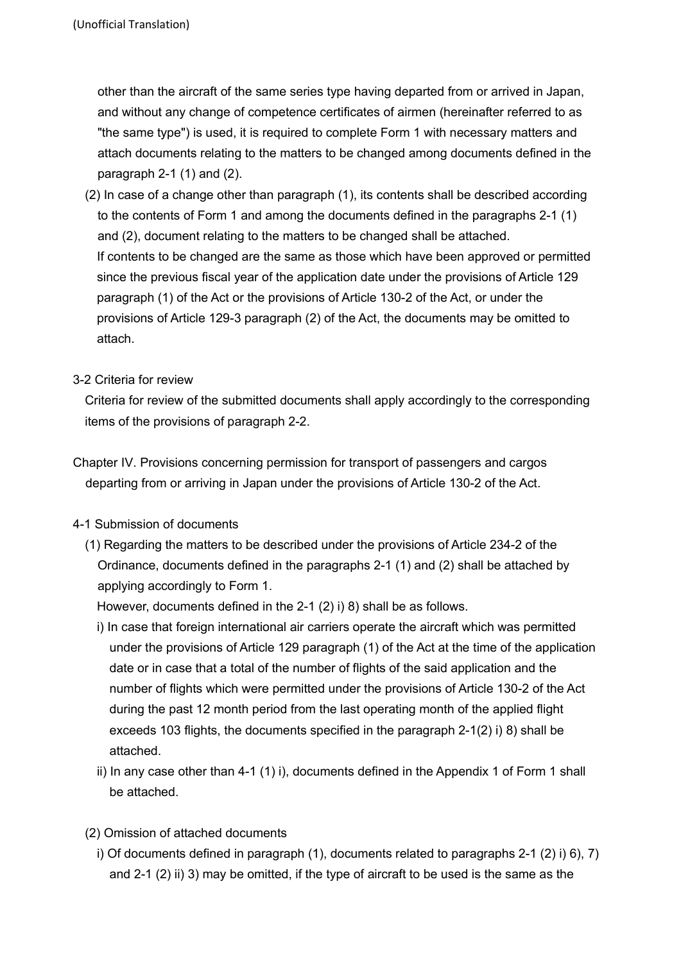other than the aircraft of the same series type having departed from or arrived in Japan, and without any change of competence certificates of airmen (hereinafter referred to as "the same type") is used, it is required to complete Form 1 with necessary matters and attach documents relating to the matters to be changed among documents defined in the paragraph  $2-1$  (1) and (2).

(2) In case of a change other than paragraph (1), its contents shall be described according to the contents of Form 1 and among the documents defined in the paragraphs 2-1 (1) and (2), document relating to the matters to be changed shall be attached. If contents to be changed are the same as those which have been approved or permitted since the previous fiscal year of the application date under the provisions of Article 129 paragraph (1) of the Act or the provisions of Article 130-2 of the Act, or under the provisions of Article 129-3 paragraph (2) of the Act, the documents may be omitted to attach.

### 3-2 Criteria for review

Criteria for review of the submitted documents shall apply accordingly to the corresponding items of the provisions of paragraph 2-2.

- Chapter IV. Provisions concerning permission for transport of passengers and cargos departing from or arriving in Japan under the provisions of Article 130-2 of the Act.
- 4-1 Submission of documents
	- (1) Regarding the matters to be described under the provisions of Article 234-2 of the Ordinance, documents defined in the paragraphs 2-1 (1) and (2) shall be attached by applying accordingly to Form 1.

However, documents defined in the 2-1 (2) i) 8) shall be as follows.

- i) In case that foreign international air carriers operate the aircraft which was permitted under the provisions of Article 129 paragraph (1) of the Act at the time of the application date or in case that a total of the number of flights of the said application and the number of flights which were permitted under the provisions of Article 130-2 of the Act during the past 12 month period from the last operating month of the applied flight exceeds 103 flights, the documents specified in the paragraph 2-1(2) i) 8) shall be attached.
- ii) In any case other than 4-1 (1) i), documents defined in the Appendix 1 of Form 1 shall be attached.
- (2) Omission of attached documents
	- i) Of documents defined in paragraph (1), documents related to paragraphs 2-1 (2) i) 6), 7) and 2-1 (2) ii) 3) may be omitted, if the type of aircraft to be used is the same as the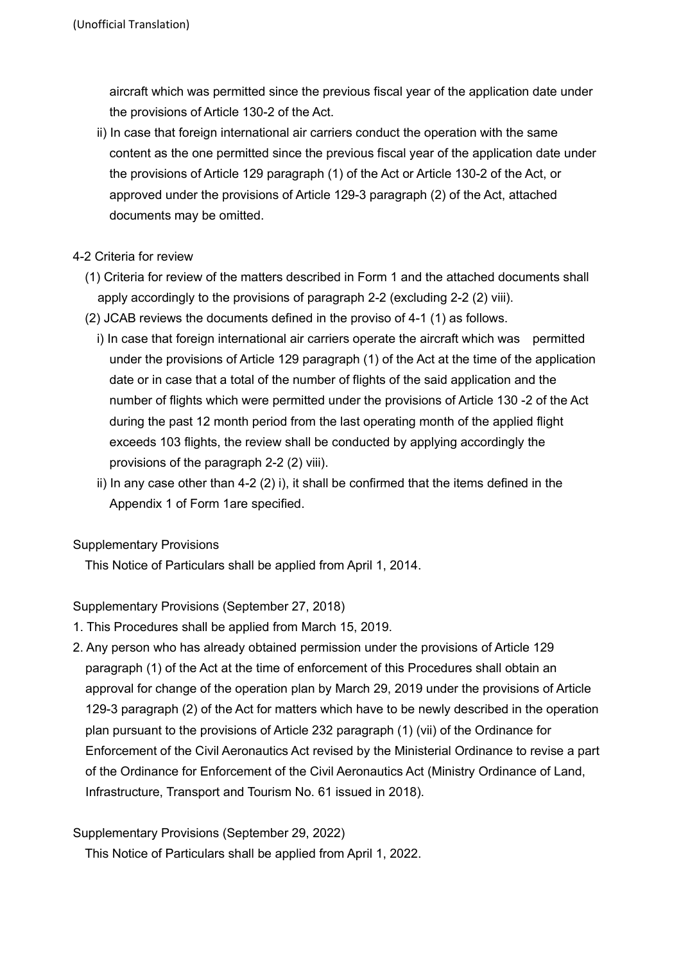aircraft which was permitted since the previous fiscal year of the application date under the provisions of Article 130-2 of the Act.

ii) In case that foreign international air carriers conduct the operation with the same content as the one permitted since the previous fiscal year of the application date under the provisions of Article 129 paragraph (1) of the Act or Article 130-2 of the Act, or approved under the provisions of Article 129-3 paragraph (2) of the Act, attached documents may be omitted.

# 4-2 Criteria for review

- (1) Criteria for review of the matters described in Form 1 and the attached documents shall apply accordingly to the provisions of paragraph 2-2 (excluding 2-2 (2) viii).
- (2) JCAB reviews the documents defined in the proviso of 4-1 (1) as follows.
	- i) In case that foreign international air carriers operate the aircraft which was permitted under the provisions of Article 129 paragraph (1) of the Act at the time of the application date or in case that a total of the number of flights of the said application and the number of flights which were permitted under the provisions of Article 130 -2 of the Act during the past 12 month period from the last operating month of the applied flight exceeds 103 flights, the review shall be conducted by applying accordingly the provisions of the paragraph 2-2 (2) viii).
	- ii) In any case other than  $4-2$  (2) i), it shall be confirmed that the items defined in the Appendix 1 of Form 1are specified.

# Supplementary Provisions

This Notice of Particulars shall be applied from April 1, 2014.

# Supplementary Provisions (September 27, 2018)

- 1. This Procedures shall be applied from March 15, 2019.
- 2. Any person who has already obtained permission under the provisions of Article 129 paragraph (1) of the Act at the time of enforcement of this Procedures shall obtain an approval for change of the operation plan by March 29, 2019 under the provisions of Article 129-3 paragraph (2) of the Act for matters which have to be newly described in the operation plan pursuant to the provisions of Article 232 paragraph (1) (vii) of the Ordinance for Enforcement of the Civil Aeronautics Act revised by the Ministerial Ordinance to revise a part of the Ordinance for Enforcement of the Civil Aeronautics Act (Ministry Ordinance of Land, Infrastructure, Transport and Tourism No. 61 issued in 2018).

# Supplementary Provisions (September 29, 2022)

This Notice of Particulars shall be applied from April 1, 2022.